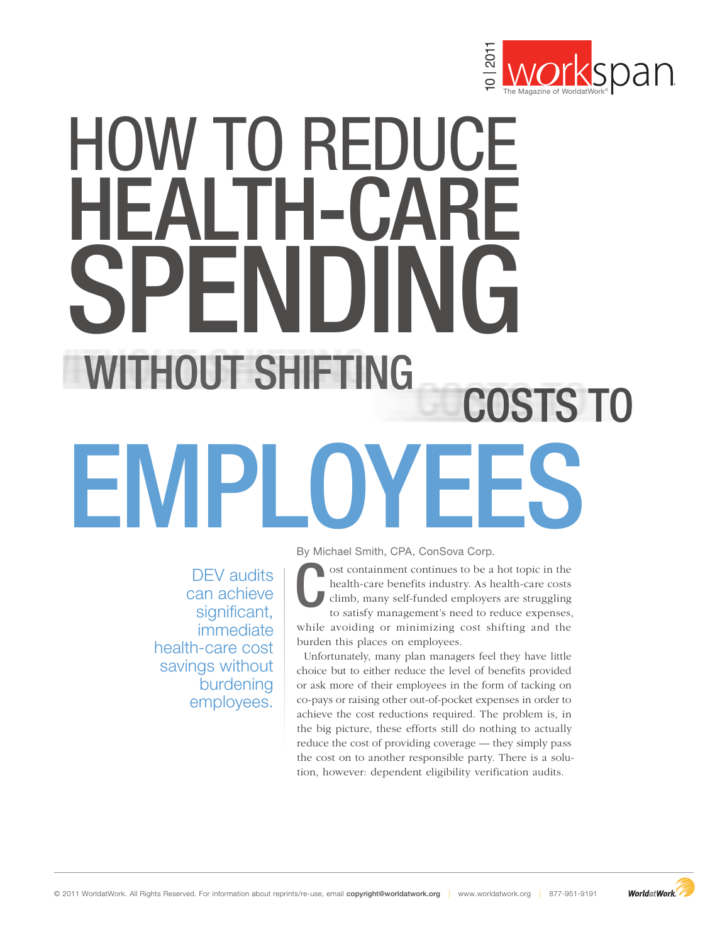

# HOW TO REDUCE Health-Care SPENDING HOW TO REDUCE<br>
HEALTH-CARE<br>
SPENDING<br>
WITHOUT SHIFTING<br>
WITHOUT SHIFTING<br>
EMPLOYEES

DEV audits can achieve significant, immediate health-care cost savings without burdening employees.

By Michael Smith, CPA, ConSova Corp.

ost containment continues to be a hot topic in the health-care benefits industry. As health-care costs climb, many self-funded employers are struggling to satisfy management's need to reduce expenses, while avoiding or minimizing cost shifting and the burden this places on employees. C

Unfortunately, many plan managers feel they have little choice but to either reduce the level of benefits provided or ask more of their employees in the form of tacking on co-pays or raising other out-of-pocket expenses in order to achieve the cost reductions required. The problem is, in the big picture, these efforts still do nothing to actually reduce the cost of providing coverage — they simply pass the cost on to another responsible party. There is a solution, however: dependent eligibility verification audits.

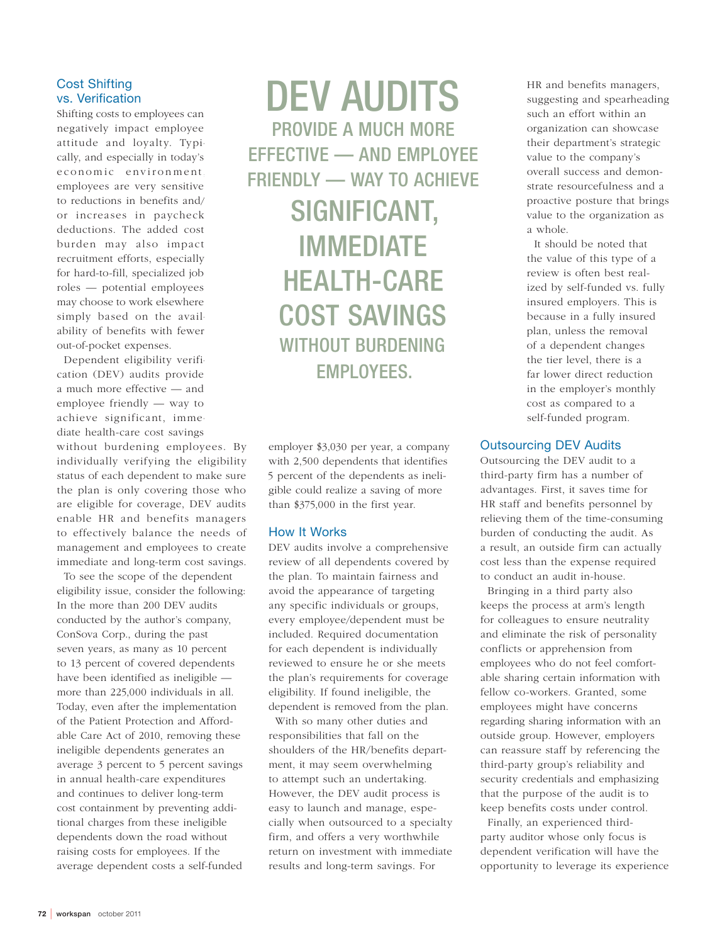# Cost Shifting vs. Verification

Shifting costs to employees can negatively impact employee attitude and loyalty. Typically, and especially in today's economic environment. employees are very sensitive to reductions in benefits and/ or increases in paycheck deductions. The added cost burden may also impact recruitment efforts, especially for hard-to-fill, specialized job roles — potential employees may choose to work elsewhere simply based on the availability of benefits with fewer out-of-pocket expenses.

Dependent eligibility verification (DEV) audits provide a much more effective — and employee friendly — way to achieve significant, immediate health-care cost savings

without burdening employees. By individually verifying the eligibility status of each dependent to make sure the plan is only covering those who are eligible for coverage, DEV audits enable HR and benefits managers to effectively balance the needs of management and employees to create immediate and long-term cost savings.

To see the scope of the dependent eligibility issue, consider the following: In the more than 200 DEV audits conducted by the author's company, ConSova Corp., during the past seven years, as many as 10 percent to 13 percent of covered dependents have been identified as ineligible more than 225,000 individuals in all. Today, even after the implementation of the Patient Protection and Affordable Care Act of 2010, removing these ineligible dependents generates an average 3 percent to 5 percent savings in annual health-care expenditures and continues to deliver long-term cost containment by preventing additional charges from these ineligible dependents down the road without raising costs for employees. If the average dependent costs a self-funded

DEV AUDITS provide a much more effecTIve — and employee friendly — way to achieve significant, **IMMEDIATE** health-care cost savings WITHOUT BURDENING employees.

employer \$3,030 per year, a company with 2,500 dependents that identifies 5 percent of the dependents as ineligible could realize a saving of more than \$375,000 in the first year.

### How It Works

DEV audits involve a comprehensive review of all dependents covered by the plan. To maintain fairness and avoid the appearance of targeting any specific individuals or groups, every employee/dependent must be included. Required documentation for each dependent is individually reviewed to ensure he or she meets the plan's requirements for coverage eligibility. If found ineligible, the dependent is removed from the plan.

With so many other duties and responsibilities that fall on the shoulders of the HR/benefits department, it may seem overwhelming to attempt such an undertaking. However, the DEV audit process is easy to launch and manage, especially when outsourced to a specialty firm, and offers a very worthwhile return on investment with immediate results and long-term savings. For

HR and benefits managers, suggesting and spearheading such an effort within an organization can showcase their department's strategic value to the company's overall success and demonstrate resourcefulness and a proactive posture that brings value to the organization as a whole.

It should be noted that the value of this type of a review is often best realized by self-funded vs. fully insured employers. This is because in a fully insured plan, unless the removal of a dependent changes the tier level, there is a far lower direct reduction in the employer's monthly cost as compared to a self-funded program.

### Outsourcing DEV Audits

Outsourcing the DEV audit to a third-party firm has a number of advantages. First, it saves time for HR staff and benefits personnel by relieving them of the time-consuming burden of conducting the audit. As a result, an outside firm can actually cost less than the expense required to conduct an audit in-house.

Bringing in a third party also keeps the process at arm's length for colleagues to ensure neutrality and eliminate the risk of personality conflicts or apprehension from employees who do not feel comfortable sharing certain information with fellow co-workers. Granted, some employees might have concerns regarding sharing information with an outside group. However, employers can reassure staff by referencing the third-party group's reliability and security credentials and emphasizing that the purpose of the audit is to keep benefits costs under control.

Finally, an experienced thirdparty auditor whose only focus is dependent verification will have the opportunity to leverage its experience